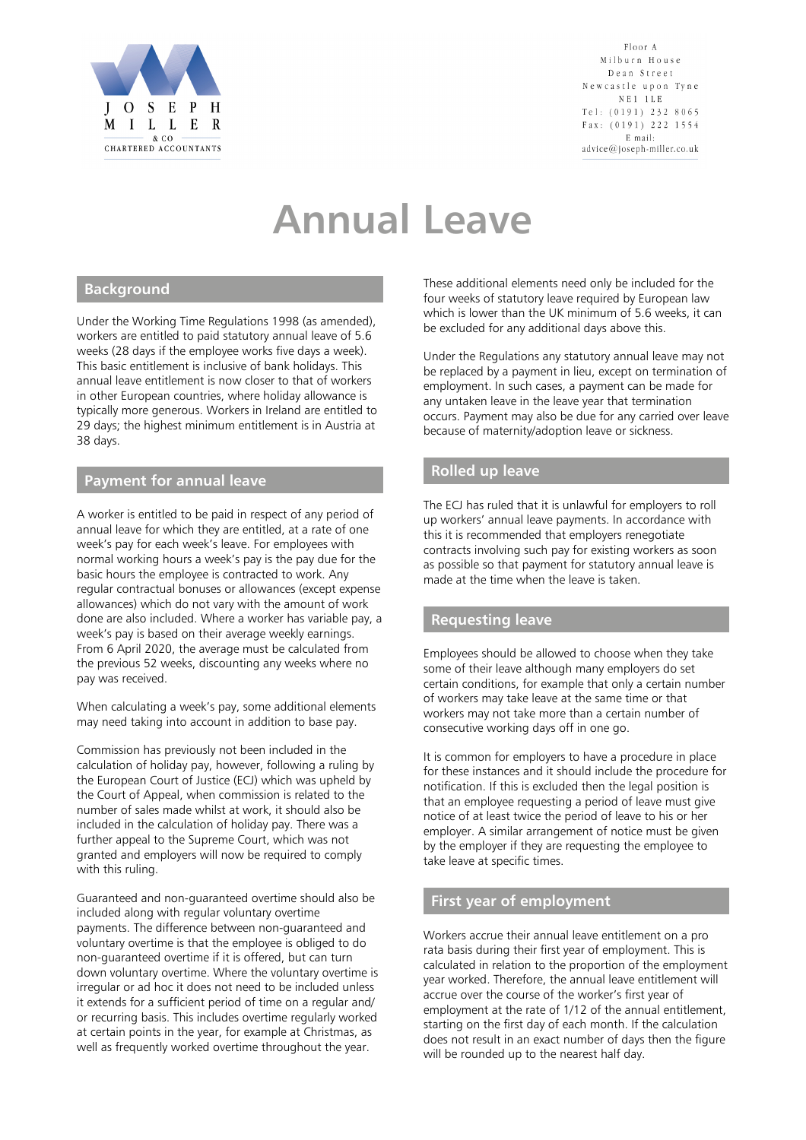

Floor A Milburn House Dean Street Newcastle upon Tyne  $N E 1 1 L E$ Tel:  $(0191)$  232 8065 Fax: (0191) 222 1554 E mail: advice@joseph-miller.co.uk

# **Annual Leave**

#### **Background**

Under the Working Time Regulations 1998 (as amended), workers are entitled to paid statutory annual leave of 5.6 weeks (28 days if the employee works five days a week). This basic entitlement is inclusive of bank holidays. This annual leave entitlement is now closer to that of workers in other European countries, where holiday allowance is typically more generous. Workers in Ireland are entitled to 29 days; the highest minimum entitlement is in Austria at 38 days.

#### **Payment for annual leave**

A worker is entitled to be paid in respect of any period of annual leave for which they are entitled, at a rate of one week's pay for each week's leave. For employees with normal working hours a week's pay is the pay due for the basic hours the employee is contracted to work. Any regular contractual bonuses or allowances (except expense allowances) which do not vary with the amount of work done are also included. Where a worker has variable pay, a week's pay is based on their average weekly earnings. From 6 April 2020, the average must be calculated from the previous 52 weeks, discounting any weeks where no pay was received.

When calculating a week's pay, some additional elements may need taking into account in addition to base pay.

Commission has previously not been included in the calculation of holiday pay, however, following a ruling by the European Court of Justice (ECJ) which was upheld by the Court of Appeal, when commission is related to the number of sales made whilst at work, it should also be included in the calculation of holiday pay. There was a further appeal to the Supreme Court, which was not granted and employers will now be required to comply with this ruling.

Guaranteed and non-guaranteed overtime should also be included along with regular voluntary overtime payments. The difference between non-guaranteed and voluntary overtime is that the employee is obliged to do non-guaranteed overtime if it is offered, but can turn down voluntary overtime. Where the voluntary overtime is irregular or ad hoc it does not need to be included unless it extends for a sufficient period of time on a regular and/ or recurring basis. This includes overtime regularly worked at certain points in the year, for example at Christmas, as well as frequently worked overtime throughout the year.

These additional elements need only be included for the four weeks of statutory leave required by European law which is lower than the UK minimum of 5.6 weeks, it can be excluded for any additional days above this.

Under the Regulations any statutory annual leave may not be replaced by a payment in lieu, except on termination of employment. In such cases, a payment can be made for any untaken leave in the leave year that termination occurs. Payment may also be due for any carried over leave because of maternity/adoption leave or sickness.

#### **Rolled up leave**

The ECJ has ruled that it is unlawful for employers to roll up workers' annual leave payments. In accordance with this it is recommended that employers renegotiate contracts involving such pay for existing workers as soon as possible so that payment for statutory annual leave is made at the time when the leave is taken.

### **Requesting leave**

Employees should be allowed to choose when they take some of their leave although many employers do set certain conditions, for example that only a certain number of workers may take leave at the same time or that workers may not take more than a certain number of consecutive working days off in one go.

It is common for employers to have a procedure in place for these instances and it should include the procedure for notification. If this is excluded then the legal position is that an employee requesting a period of leave must give notice of at least twice the period of leave to his or her employer. A similar arrangement of notice must be given by the employer if they are requesting the employee to take leave at specific times.

## **First year of employment**

Workers accrue their annual leave entitlement on a pro rata basis during their first year of employment. This is calculated in relation to the proportion of the employment year worked. Therefore, the annual leave entitlement will accrue over the course of the worker's first year of employment at the rate of 1/12 of the annual entitlement, starting on the first day of each month. If the calculation does not result in an exact number of days then the figure will be rounded up to the nearest half day.